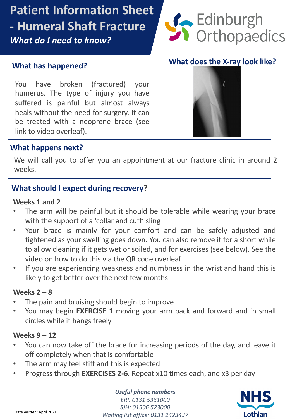## **Patient Information Sheet - Humeral Shaft Fracture**  *What do I need to know?*



**What does the X-ray look like?**

### **What has happened?**

You have broken (fractured) your humerus. The type of injury you have suffered is painful but almost always nears without the need for surgery. It can<br>be treated with a neoprene brace (see link to video overleaf). heals without the need for surgery. It can

### d **What happens next?**

We will call you to offer you an appointment at our fracture clinic in around 2 weeks.

### **What should I expect during recovery?**

### **Weeks 1 and 2**

- The arm will be painful but it should be tolerable while wearing your brace with the support of a 'collar and cuff' sling
- Your brace is mainly for your comfort and can be safely adjusted and tightened as your swelling goes down. You can also remove it for a short while to allow cleaning if it gets wet or soiled, and for exercises (see below). See the video on how to do this via the QR code overleaf
- If you are experiencing weakness and numbness in the wrist and hand this is likely to get better over the next few months

### **Weeks 2 – 8**

- The pain and bruising should begin to improve
- You may begin **EXERCISE 1** moving your arm back and forward and in small circles while it hangs freely

### **Weeks 9 – 12**

- You can now take off the brace for increasing periods of the day, and leave it off completely when that is comfortable
- The arm may feel stiff and this is expected
- Progress through **EXERCISES 2-6**. Repeat x10 times each, and x3 per day

#### *Useful phone numbers*

*ERI: 0131 5361000 SJH: 01506 523000* Date written: April 2021<br>
Waiting list office: 0131 2423437